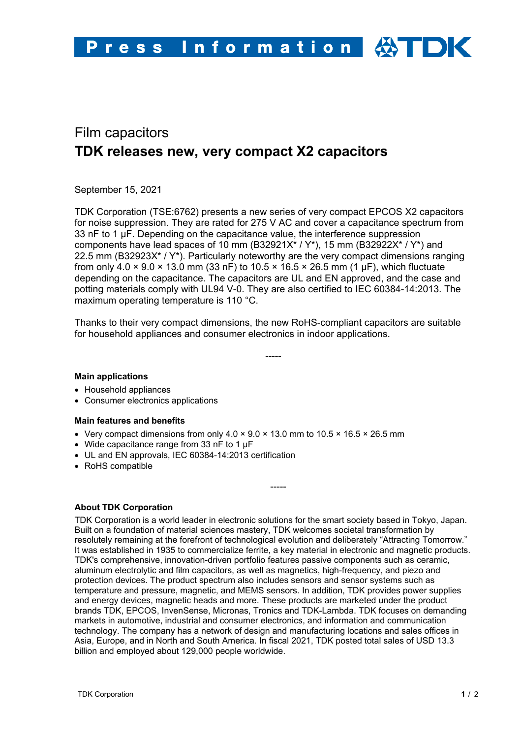# Film capacitors **TDK releases new, very compact X2 capacitors**

September 15, 2021

TDK Corporation (TSE:6762) presents a new series of very compact EPCOS X2 capacitors for noise suppression. They are rated for 275 V AC and cover a capacitance spectrum from 33 nF to 1 µF. Depending on the capacitance value, the interference suppression components have lead spaces of 10 mm (B32921X\* / Y\*), 15 mm (B32922X\* / Y\*) and 22.5 mm (B32923X\* / Y\*). Particularly noteworthy are the very compact dimensions ranging from only 4.0  $\times$  9.0  $\times$  13.0 mm (33 nF) to 10.5  $\times$  16.5  $\times$  26.5 mm (1 µF), which fluctuate depending on the capacitance. The capacitors are UL and EN approved, and the case and potting materials comply with UL94 V-0. They are also certified to IEC 60384-14:2013. The maximum operating temperature is 110 °C.

Thanks to their very compact dimensions, the new RoHS-compliant capacitors are suitable for household appliances and consumer electronics in indoor applications.

-----

### **Main applications**

- Household appliances
- Consumer electronics applications

### **Main features and benefits**

- Very compact dimensions from only  $4.0 \times 9.0 \times 13.0$  mm to  $10.5 \times 16.5 \times 26.5$  mm
- Wide capacitance range from 33 nF to 1 µF
- UL and EN approvals, IEC 60384-14:2013 certification
- RoHS compatible

### **About TDK Corporation**

TDK Corporation is a world leader in electronic solutions for the smart society based in Tokyo, Japan. Built on a foundation of material sciences mastery, TDK welcomes societal transformation by resolutely remaining at the forefront of technological evolution and deliberately "Attracting Tomorrow." It was established in 1935 to commercialize ferrite, a key material in electronic and magnetic products. TDK's comprehensive, innovation-driven portfolio features passive components such as ceramic, aluminum electrolytic and film capacitors, as well as magnetics, high-frequency, and piezo and protection devices. The product spectrum also includes sensors and sensor systems such as temperature and pressure, magnetic, and MEMS sensors. In addition, TDK provides power supplies and energy devices, magnetic heads and more. These products are marketed under the product brands TDK, EPCOS, InvenSense, Micronas, Tronics and TDK-Lambda. TDK focuses on demanding markets in automotive, industrial and consumer electronics, and information and communication technology. The company has a network of design and manufacturing locations and sales offices in Asia, Europe, and in North and South America. In fiscal 2021, TDK posted total sales of USD 13.3 billion and employed about 129,000 people worldwide.

-----